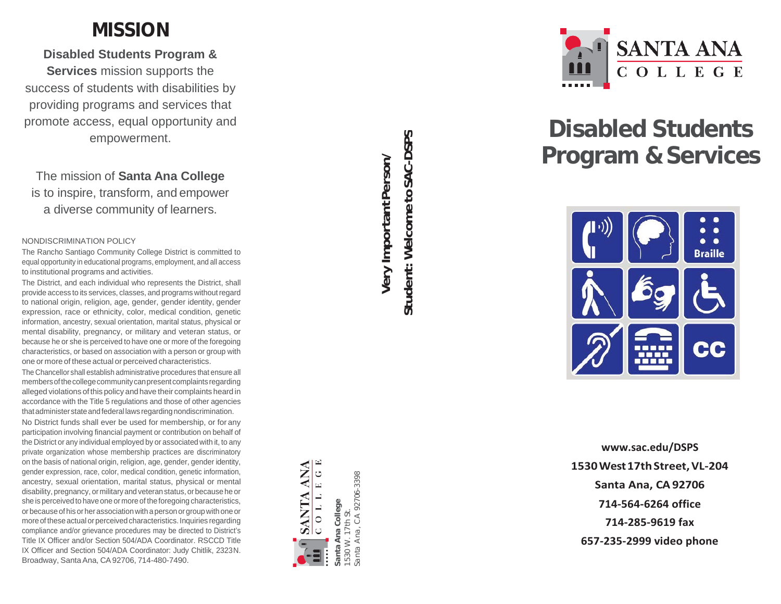## **MISSION**

**Disabled Students Program &** 

**Services** mission supports the success of students with disabilities by providing programs and services that promote access, equal opportunity and empowerment.

## The mission of **Santa Ana College**  is to inspire, transform, and empower a diverse community of learners.

### NONDISCRIMINATION POLICY

The Rancho Santiago Community College District is committed to equal opportunity in educational programs, employment, and all access to institutional programs and activities.

The District, and each individual who represents the District, shall provide access to its services, classes, and programs without regard to national origin, religion, age, gender, gender identity, gender expression, race or ethnicity, color, medical condition, genetic information, ancestry, sexual orientation, marital status, physical or mental disability, pregnancy, or military and veteran status, or because he or she is perceived to have one or more of the foregoing characteristics, or based on association with a person or group with one or more of these actual or perceived characteristics.

The Chancellor shall establish administrative procedures that ensure all members of the college community can present complaints regarding alleged violations of this policy andhave their complaints heard in accordance with the Title 5 regulations and those of other agencies that administer state and federal laws regarding nondiscrimination.

No District funds shall ever be used for membership, or for any participation involving financial payment or contribution on behalf of the District or any individual employed by or associated with it, to any private organization whose membership practices are discriminatory on the basis of national origin, religion, age, gender, gender identity, gender expression, race, color, medical condition, genetic information, ancestry, sexual orientation, marital status, physical or mental disability, pregnancy, ormilitary and veteranstatus, orbecausehe or she is perceived to have one or more of the foregoing characteristics, orbecauseof his orherassociationwith apersonorgroupwithoneor more of these actual or perceived characteristics. Inquiries regarding compliance and/or grievance procedures may be directed to District's Title IX Officer and/or Section 504/ADA Coordinator. RSCCD Title IX Officer and Section 504/ADA Coordinator: Judy Chitlik, 2323N. Broadway, Santa Ana, CA 92706, 714-480-7490.

Student: Welcome to SAC-DSPS **Student: Welcometo SAC-DSPSVery ImportantPerson/** Very Important Person/

**Santa Ana College** 1530 W. 17th St.

 $\overline{\mathbf{c}}$ ā  $\geqslant$ anta 530

College

 $\ddot{5}$ 

7th

**ANA**  $\circ$ 

**SANTA** 

 $\omega$ 

 $\overline{\phantom{0}}$ 

 $\overline{\phantom{0}}$ 

 $\circ$ 

Ō

Santa Ana, CA 92706-3398

anta Ana,

CA 92706-3398



# **Disabled Students Program & Services**



**[www.sac.edu/DSPS](http://www.sac.edu/DSPS) 1530West17thStreet,VL -204 Santa Ana, CA92706 714 -564 -6264 office 714 -285 -9619 fax 657 -235 -2999 video phone**